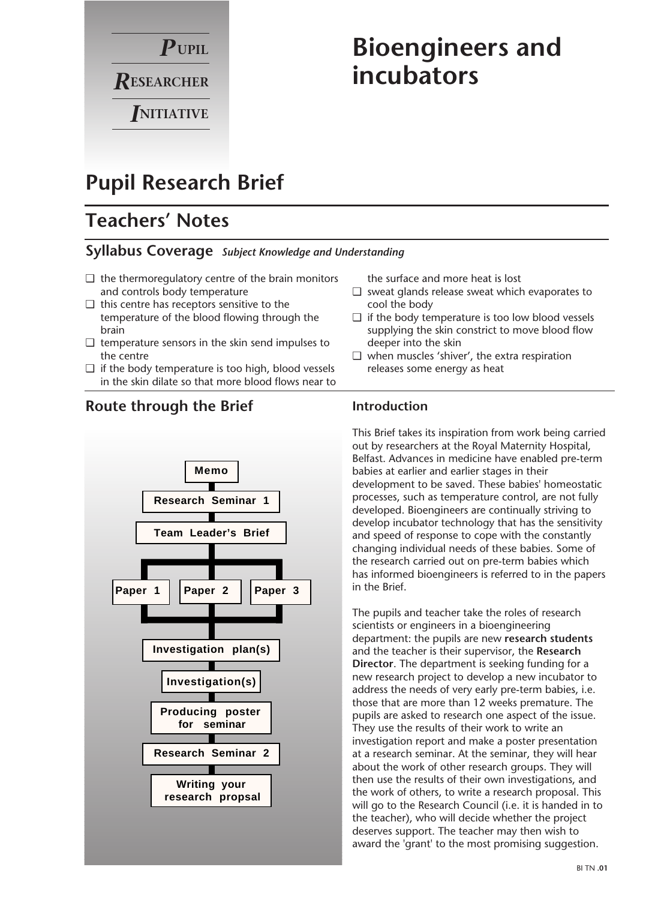

# **Bioengineers and incubators**

# **Pupil Research Brief**

# **Teachers' Notes**

### **Syllabus Coverage** *Subject Knowledge and Understanding*

- $\Box$  the thermoregulatory centre of the brain monitors and controls body temperature
- ❑ this centre has receptors sensitive to the temperature of the blood flowing through the brain
- $\Box$  temperature sensors in the skin send impulses to the centre
- $\Box$  if the body temperature is too high, blood vessels in the skin dilate so that more blood flows near to

**Route through the Brief**

# **Producing poster for seminar Memo Research Seminar 1 Team Leader's Brief Investigation plan(s) Investigation(s) Research Seminar 2 Paper 1 Paper 2 Paper 3 Writing your research propsal**

the surface and more heat is lost

- ❑ sweat glands release sweat which evaporates to cool the body
- ❑ if the body temperature is too low blood vessels supplying the skin constrict to move blood flow deeper into the skin
- ❑ when muscles 'shiver', the extra respiration releases some energy as heat

### **Introduction**

This Brief takes its inspiration from work being carried out by researchers at the Royal Maternity Hospital, Belfast. Advances in medicine have enabled pre-term babies at earlier and earlier stages in their development to be saved. These babies' homeostatic processes, such as temperature control, are not fully developed. Bioengineers are continually striving to develop incubator technology that has the sensitivity and speed of response to cope with the constantly changing individual needs of these babies. Some of the research carried out on pre-term babies which has informed bioengineers is referred to in the papers in the Brief.

The pupils and teacher take the roles of research scientists or engineers in a bioengineering department: the pupils are new **research students** and the teacher is their supervisor, the **Research Director**. The department is seeking funding for a new research project to develop a new incubator to address the needs of very early pre-term babies, i.e. those that are more than 12 weeks premature. The pupils are asked to research one aspect of the issue. They use the results of their work to write an investigation report and make a poster presentation at a research seminar. At the seminar, they will hear about the work of other research groups. They will then use the results of their own investigations, and the work of others, to write a research proposal. This will go to the Research Council (i.e. it is handed in to the teacher), who will decide whether the project deserves support. The teacher may then wish to award the 'grant' to the most promising suggestion.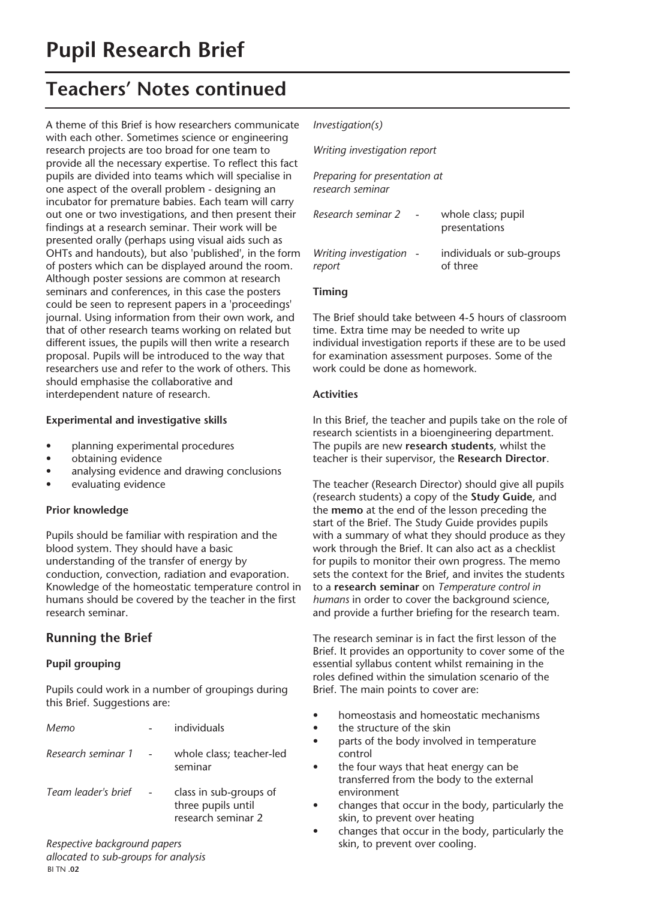A theme of this Brief is how researchers communicate with each other. Sometimes science or engineering research projects are too broad for one team to provide all the necessary expertise. To reflect this fact pupils are divided into teams which will specialise in one aspect of the overall problem - designing an incubator for premature babies. Each team will carry out one or two investigations, and then present their findings at a research seminar. Their work will be presented orally (perhaps using visual aids such as OHTs and handouts), but also 'published', in the form of posters which can be displayed around the room. Although poster sessions are common at research seminars and conferences, in this case the posters could be seen to represent papers in a 'proceedings' journal. Using information from their own work, and that of other research teams working on related but different issues, the pupils will then write a research proposal. Pupils will be introduced to the way that researchers use and refer to the work of others. This should emphasise the collaborative and interdependent nature of research.

#### **Experimental and investigative skills**

- planning experimental procedures
- obtaining evidence
- analysing evidence and drawing conclusions
- evaluating evidence

#### **Prior knowledge**

Pupils should be familiar with respiration and the blood system. They should have a basic understanding of the transfer of energy by conduction, convection, radiation and evaporation. Knowledge of the homeostatic temperature control in humans should be covered by the teacher in the first research seminar.

### **Running the Brief**

#### **Pupil grouping**

Pupils could work in a number of groupings during this Brief. Suggestions are:

| Memo                | individuals                                                        |
|---------------------|--------------------------------------------------------------------|
| Research seminar 1  | whole class; teacher-led<br>seminar                                |
| Team leader's brief | class in sub-groups of<br>three pupils until<br>research seminar 2 |

*Respective background papers allocated to sub-groups for analysis* BI TN **.02** 

#### *Investigation(s)*

| Writing investigation report  |                                       |
|-------------------------------|---------------------------------------|
| Preparing for presentation at |                                       |
|                               | whole class; pupil<br>presentations   |
| Writing investigation -       | individuals or sub-groups<br>of three |
|                               |                                       |

#### **Timing**

The Brief should take between 4-5 hours of classroom time. Extra time may be needed to write up individual investigation reports if these are to be used for examination assessment purposes. Some of the work could be done as homework.

#### **Activities**

In this Brief, the teacher and pupils take on the role of research scientists in a bioengineering department. The pupils are new **research students**, whilst the teacher is their supervisor, the **Research Director**.

The teacher (Research Director) should give all pupils (research students) a copy of the **Study Guide**, and the **memo** at the end of the lesson preceding the start of the Brief. The Study Guide provides pupils with a summary of what they should produce as they work through the Brief. It can also act as a checklist for pupils to monitor their own progress. The memo sets the context for the Brief, and invites the students to a **research seminar** on *Temperature control in humans* in order to cover the background science, and provide a further briefing for the research team.

The research seminar is in fact the first lesson of the Brief. It provides an opportunity to cover some of the essential syllabus content whilst remaining in the roles defined within the simulation scenario of the Brief. The main points to cover are:

- homeostasis and homeostatic mechanisms
- the structure of the skin
- parts of the body involved in temperature control
- the four ways that heat energy can be transferred from the body to the external environment
- changes that occur in the body, particularly the skin, to prevent over heating
- changes that occur in the body, particularly the skin, to prevent over cooling.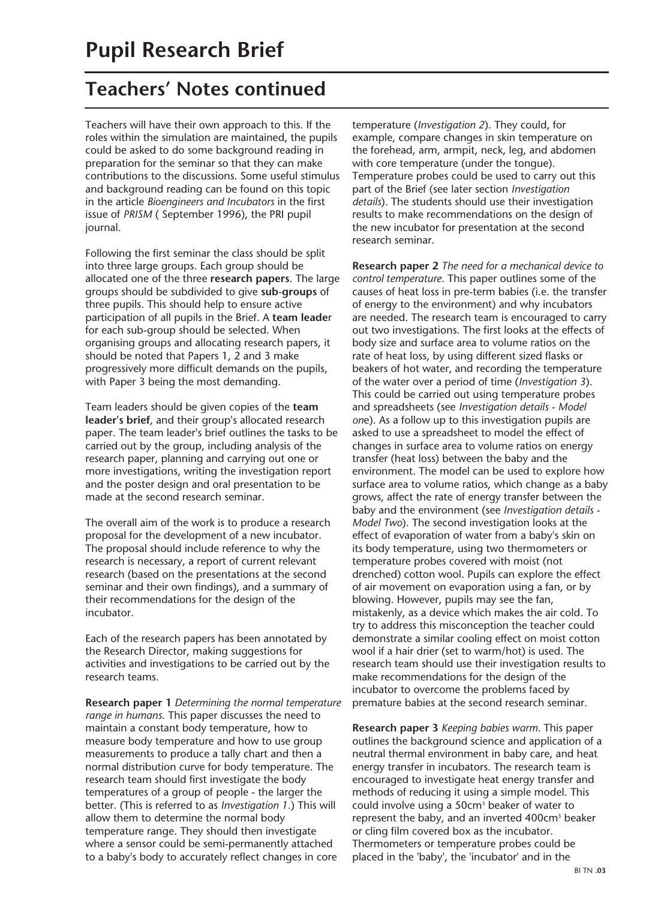Teachers will have their own approach to this. If the roles within the simulation are maintained, the pupils could be asked to do some background reading in preparation for the seminar so that they can make contributions to the discussions. Some useful stimulus and background reading can be found on this topic in the article *Bioengineers and Incubators* in the first issue of *PRISM* ( September 1996), the PRI pupil journal.

Following the first seminar the class should be split into three large groups. Each group should be allocated one of the three **research papers**. The large groups should be subdivided to give **sub-groups** of three pupils. This should help to ensure active participation of all pupils in the Brief. A **team leade**r for each sub-group should be selected. When organising groups and allocating research papers, it should be noted that Papers 1, 2 and 3 make progressively more difficult demands on the pupils, with Paper 3 being the most demanding.

Team leaders should be given copies of the **team leader's brief**, and their group's allocated research paper. The team leader's brief outlines the tasks to be carried out by the group, including analysis of the research paper, planning and carrying out one or more investigations, writing the investigation report and the poster design and oral presentation to be made at the second research seminar.

The overall aim of the work is to produce a research proposal for the development of a new incubator. The proposal should include reference to why the research is necessary, a report of current relevant research (based on the presentations at the second seminar and their own findings), and a summary of their recommendations for the design of the incubator.

Each of the research papers has been annotated by the Research Director, making suggestions for activities and investigations to be carried out by the research teams.

**Research paper 1** *Determining the normal temperature range in humans*. This paper discusses the need to maintain a constant body temperature, how to measure body temperature and how to use group measurements to produce a tally chart and then a normal distribution curve for body temperature. The research team should first investigate the body temperatures of a group of people - the larger the better. (This is referred to as *Investigation 1.*) This will allow them to determine the normal body temperature range. They should then investigate where a sensor could be semi-permanently attached to a baby's body to accurately reflect changes in core

temperature (*Investigation 2*). They could, for example, compare changes in skin temperature on the forehead, arm, armpit, neck, leg, and abdomen with core temperature (under the tongue). Temperature probes could be used to carry out this part of the Brief (see later section *Investigation details*). The students should use their investigation results to make recommendations on the design of the new incubator for presentation at the second research seminar.

**Research paper 2** *The need for a mechanical device to control temperature*. This paper outlines some of the causes of heat loss in pre-term babies (i.e. the transfer of energy to the environment) and why incubators are needed. The research team is encouraged to carry out two investigations. The first looks at the effects of body size and surface area to volume ratios on the rate of heat loss, by using different sized flasks or beakers of hot water, and recording the temperature of the water over a period of time (*Investigation 3*). This could be carried out using temperature probes and spreadsheets (see *Investigation details - Model on*e). As a follow up to this investigation pupils are asked to use a spreadsheet to model the effect of changes in surface area to volume ratios on energy transfer (heat loss) between the baby and the environment. The model can be used to explore how surface area to volume ratios, which change as a baby grows, affect the rate of energy transfer between the baby and the environment (see *Investigation details - Model Two*). The second investigation looks at the effect of evaporation of water from a baby's skin on its body temperature, using two thermometers or temperature probes covered with moist (not drenched) cotton wool. Pupils can explore the effect of air movement on evaporation using a fan, or by blowing. However, pupils may see the fan, mistakenly, as a device which makes the air cold. To try to address this misconception the teacher could demonstrate a similar cooling effect on moist cotton wool if a hair drier (set to warm/hot) is used. The research team should use their investigation results to make recommendations for the design of the incubator to overcome the problems faced by premature babies at the second research seminar.

**Research paper 3** *Keeping babies warm*. This paper outlines the background science and application of a neutral thermal environment in baby care, and heat energy transfer in incubators. The research team is encouraged to investigate heat energy transfer and methods of reducing it using a simple model. This could involve using a 50cm<sup>3</sup> beaker of water to represent the baby, and an inverted 400cm3 beaker or cling film covered box as the incubator. Thermometers or temperature probes could be placed in the 'baby', the 'incubator' and in the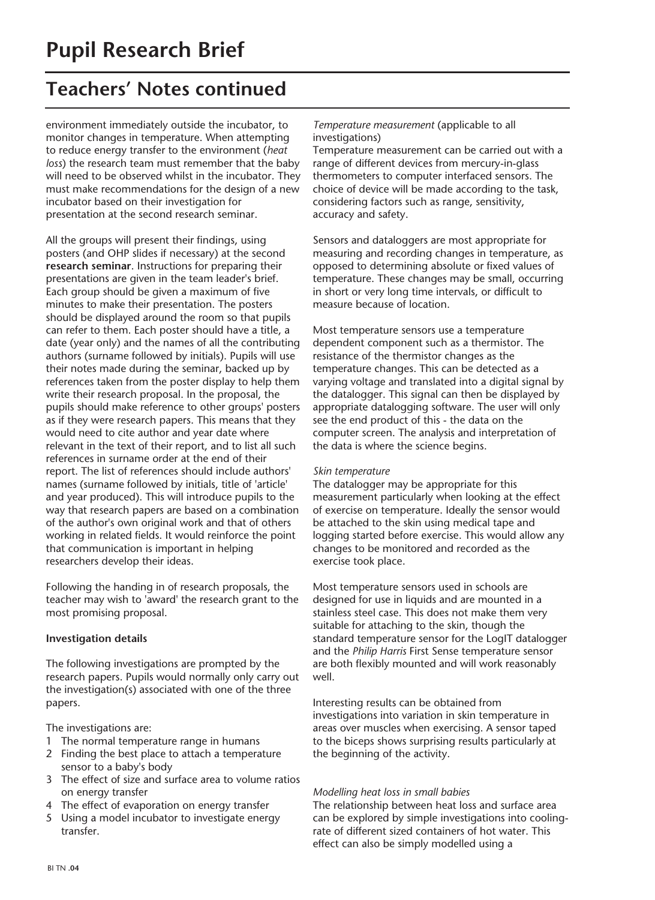environment immediately outside the incubator, to monitor changes in temperature. When attempting to reduce energy transfer to the environment (*heat loss*) the research team must remember that the baby will need to be observed whilst in the incubator. They must make recommendations for the design of a new incubator based on their investigation for presentation at the second research seminar.

All the groups will present their findings, using posters (and OHP slides if necessary) at the second **research seminar**. Instructions for preparing their presentations are given in the team leader's brief. Each group should be given a maximum of five minutes to make their presentation. The posters should be displayed around the room so that pupils can refer to them. Each poster should have a title, a date (year only) and the names of all the contributing authors (surname followed by initials). Pupils will use their notes made during the seminar, backed up by references taken from the poster display to help them write their research proposal. In the proposal, the pupils should make reference to other groups' posters as if they were research papers. This means that they would need to cite author and year date where relevant in the text of their report, and to list all such references in surname order at the end of their report. The list of references should include authors' names (surname followed by initials, title of 'article' and year produced). This will introduce pupils to the way that research papers are based on a combination of the author's own original work and that of others working in related fields. It would reinforce the point that communication is important in helping researchers develop their ideas.

Following the handing in of research proposals, the teacher may wish to 'award' the research grant to the most promising proposal.

#### **Investigation details**

The following investigations are prompted by the research papers. Pupils would normally only carry out the investigation(s) associated with one of the three papers.

The investigations are:

- 1 The normal temperature range in humans
- 2 Finding the best place to attach a temperature sensor to a baby's body
- 3 The effect of size and surface area to volume ratios on energy transfer
- 4 The effect of evaporation on energy transfer
- 5 Using a model incubator to investigate energy transfer.

#### *Temperature measurement* (applicable to all investigations)

Temperature measurement can be carried out with a range of different devices from mercury-in-glass thermometers to computer interfaced sensors. The choice of device will be made according to the task, considering factors such as range, sensitivity, accuracy and safety.

Sensors and dataloggers are most appropriate for measuring and recording changes in temperature, as opposed to determining absolute or fixed values of temperature. These changes may be small, occurring in short or very long time intervals, or difficult to measure because of location.

Most temperature sensors use a temperature dependent component such as a thermistor. The resistance of the thermistor changes as the temperature changes. This can be detected as a varying voltage and translated into a digital signal by the datalogger. This signal can then be displayed by appropriate datalogging software. The user will only see the end product of this - the data on the computer screen. The analysis and interpretation of the data is where the science begins.

#### *Skin temperature*

The datalogger may be appropriate for this measurement particularly when looking at the effect of exercise on temperature. Ideally the sensor would be attached to the skin using medical tape and logging started before exercise. This would allow any changes to be monitored and recorded as the exercise took place.

Most temperature sensors used in schools are designed for use in liquids and are mounted in a stainless steel case. This does not make them very suitable for attaching to the skin, though the standard temperature sensor for the LogIT datalogger and the *Philip Harris* First Sense temperature sensor are both flexibly mounted and will work reasonably well.

Interesting results can be obtained from investigations into variation in skin temperature in areas over muscles when exercising. A sensor taped to the biceps shows surprising results particularly at the beginning of the activity.

#### *Modelling heat loss in small babies*

The relationship between heat loss and surface area can be explored by simple investigations into coolingrate of different sized containers of hot water. This effect can also be simply modelled using a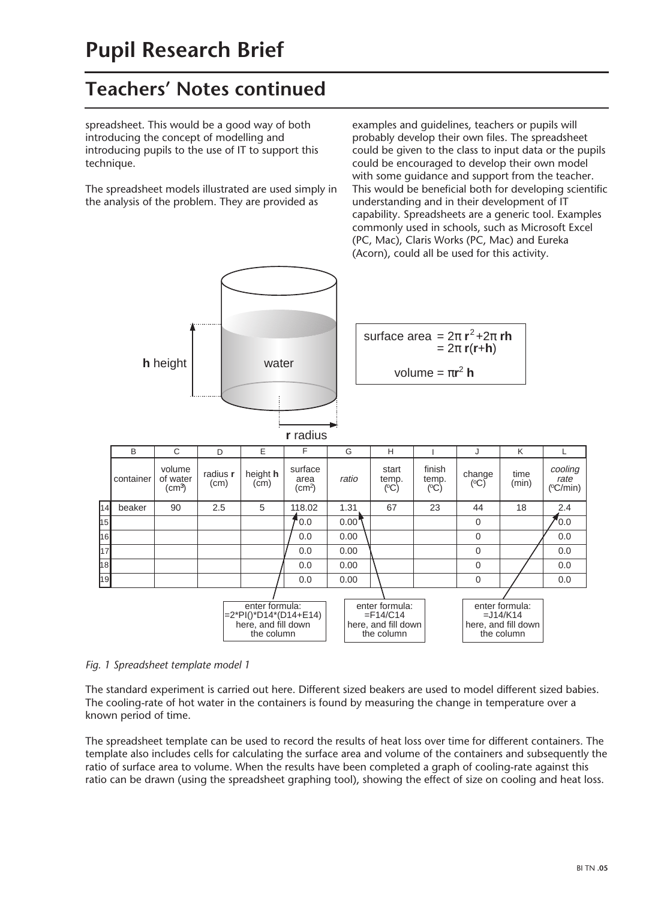spreadsheet. This would be a good way of both introducing the concept of modelling and introducing pupils to the use of IT to support this technique.

The spreadsheet models illustrated are used simply in the analysis of the problem. They are provided as

examples and guidelines, teachers or pupils will probably develop their own files. The spreadsheet could be given to the class to input data or the pupils could be encouraged to develop their own model with some guidance and support from the teacher. This would be beneficial both for developing scientific understanding and in their development of IT capability. Spreadsheets are a generic tool. Examples commonly used in schools, such as Microsoft Excel (PC, Mac), Claris Works (PC, Mac) and Eureka (Acorn), could all be used for this activity.



#### *Fig. 1 Spreadsheet template model 1*

The standard experiment is carried out here. Different sized beakers are used to model different sized babies. The cooling-rate of hot water in the containers is found by measuring the change in temperature over a known period of time.

The spreadsheet template can be used to record the results of heat loss over time for different containers. The template also includes cells for calculating the surface area and volume of the containers and subsequently the ratio of surface area to volume. When the results have been completed a graph of cooling-rate against this ratio can be drawn (using the spreadsheet graphing tool), showing the effect of size on cooling and heat loss.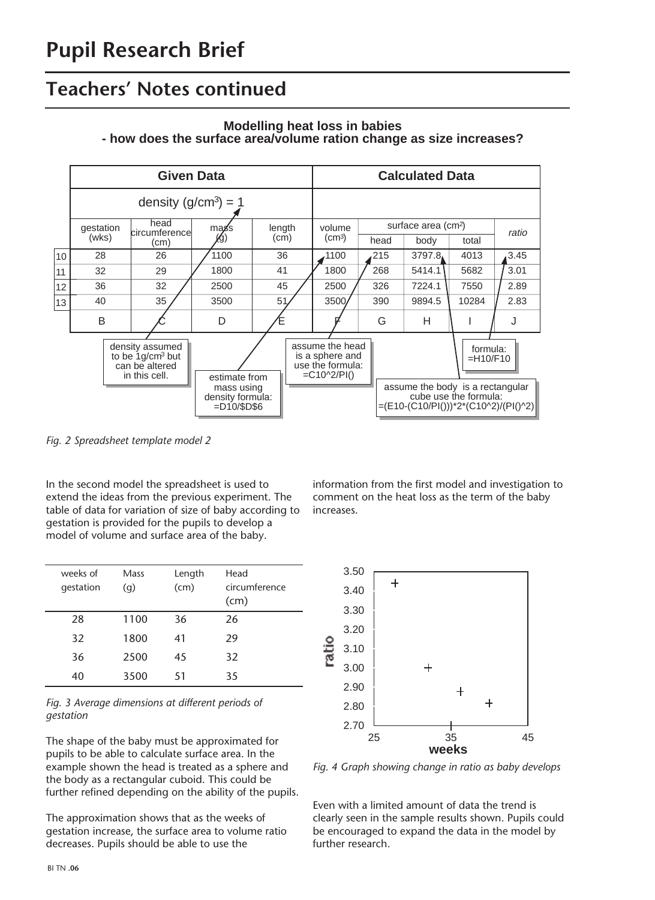

**Modelling heat loss in babies - how does the surface area/volume ration change as size increases?**

*Fig. 2 Spreadsheet template model 2*

In the second model the spreadsheet is used to extend the ideas from the previous experiment. The table of data for variation of size of baby according to gestation is provided for the pupils to develop a model of volume and surface area of the baby.

| weeks of<br>gestation | Mass<br>(q) | Length<br>(cm) | Head<br>circumference<br>(cm) |
|-----------------------|-------------|----------------|-------------------------------|
| 28                    | 1100        | 36             | 26                            |
| 32                    | 1800        | 41             | 29                            |
| 36                    | 2500        | 45             | 32                            |
| 40                    | 3500        | 51             | 35                            |



The shape of the baby must be approximated for pupils to be able to calculate surface area. In the example shown the head is treated as a sphere and the body as a rectangular cuboid. This could be further refined depending on the ability of the pupils.

The approximation shows that as the weeks of gestation increase, the surface area to volume ratio decreases. Pupils should be able to use the

information from the first model and investigation to comment on the heat loss as the term of the baby increases.



*Fig. 4 Graph showing change in ratio as baby develops*

Even with a limited amount of data the trend is clearly seen in the sample results shown. Pupils could be encouraged to expand the data in the model by further research.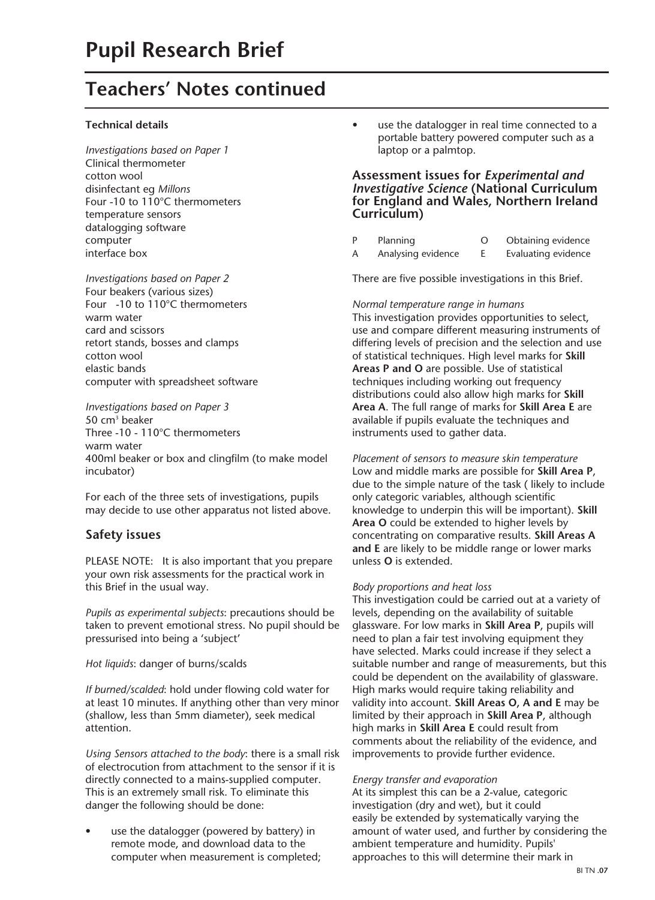#### **Technical details**

*Investigations based on Paper 1* Clinical thermometer cotton wool disinfectant eg *Millons* Four -10 to 110°C thermometers temperature sensors datalogging software computer interface box

*Investigations based on Paper 2* Four beakers (various sizes) Four -10 to 110°C thermometers warm water card and scissors retort stands, bosses and clamps cotton wool elastic bands computer with spreadsheet software

*Investigations based on Paper 3* 50 cm3 beaker Three -10 - 110°C thermometers warm water 400ml beaker or box and clingfilm (to make model incubator)

For each of the three sets of investigations, pupils may decide to use other apparatus not listed above.

### **Safety issues**

PLEASE NOTE: It is also important that you prepare your own risk assessments for the practical work in this Brief in the usual way.

*Pupils as experimental subjects*: precautions should be taken to prevent emotional stress. No pupil should be pressurised into being a 'subject'

#### *Hot liquids*: danger of burns/scalds

*If burned/scalded*: hold under flowing cold water for at least 10 minutes. If anything other than very minor (shallow, less than 5mm diameter), seek medical attention.

*Using Sensors attached to the body*: there is a small risk of electrocution from attachment to the sensor if it is directly connected to a mains-supplied computer. This is an extremely small risk. To eliminate this danger the following should be done:

use the datalogger (powered by battery) in remote mode, and download data to the computer when measurement is completed; • use the datalogger in real time connected to a portable battery powered computer such as a laptop or a palmtop.

#### **Assessment issues for** *Experimental and Investigative Science* **(National Curriculum for England and Wales, Northern Ireland Curriculum)**

| Planning | Obtaining evidence |
|----------|--------------------|
|          |                    |

A Analysing evidence E Evaluating evidence

There are five possible investigations in this Brief.

#### *Normal temperature range in humans*

This investigation provides opportunities to select, use and compare different measuring instruments of differing levels of precision and the selection and use of statistical techniques. High level marks for **Skill Areas P and O** are possible. Use of statistical techniques including working out frequency distributions could also allow high marks for **Skill Area A**. The full range of marks for **Skill Area E** are available if pupils evaluate the techniques and instruments used to gather data.

*Placement of sensors to measure skin temperature* Low and middle marks are possible for **Skill Area P**, due to the simple nature of the task ( likely to include only categoric variables, although scientific knowledge to underpin this will be important). **Skill Area O** could be extended to higher levels by concentrating on comparative results. **Skill Areas A and E** are likely to be middle range or lower marks unless **O** is extended.

#### *Body proportions and heat loss*

This investigation could be carried out at a variety of levels, depending on the availability of suitable glassware. For low marks in **Skill Area P**, pupils will need to plan a fair test involving equipment they have selected. Marks could increase if they select a suitable number and range of measurements, but this could be dependent on the availability of glassware. High marks would require taking reliability and validity into account. **Skill Areas O, A and E** may be limited by their approach in **Skill Area P**, although high marks in **Skill Area E** could result from comments about the reliability of the evidence, and improvements to provide further evidence.

#### *Energy transfer and evaporation*

At its simplest this can be a 2-value, categoric investigation (dry and wet), but it could easily be extended by systematically varying the amount of water used, and further by considering the ambient temperature and humidity. Pupils' approaches to this will determine their mark in